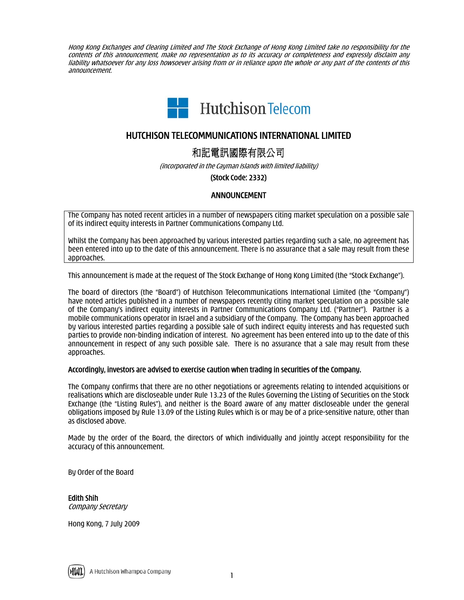Hong Kong Exchanges and Clearing Limited and The Stock Exchange of Hong Kong Limited take no responsibility for the contents of this announcement, make no representation as to its accuracy or completeness and expressly disclaim any liability whatsoever for any loss howsoever arising from or in reliance upon the whole or any part of the contents of this announcement.



# HUTCHISON TELECOMMUNICATIONS INTERNATIONAL LIMITED

和記電訊國際有限公司

(incorporated in the Cayman Islands with limited liability)

(Stock Code: 2332)

## ANNOUNCEMENT

The Company has noted recent articles in a number of newspapers citing market speculation on a possible sale of its indirect equity interests in Partner Communications Company Ltd.

Whilst the Company has been approached by various interested parties regarding such a sale, no agreement has been entered into up to the date of this announcement. There is no assurance that a sale may result from these approaches.

This announcement is made at the request of The Stock Exchange of Hong Kong Limited (the "Stock Exchange").

The board of directors (the "Board") of Hutchison Telecommunications International Limited (the "Company") have noted articles published in a number of newspapers recently citing market speculation on a possible sale of the Company's indirect equity interests in Partner Communications Company Ltd. ("Partner"). Partner is a mobile communications operator in Israel and a subsidiary of the Company. The Company has been approached by various interested parties regarding a possible sale of such indirect equity interests and has requested such parties to provide non-binding indication of interest. No agreement has been entered into up to the date of this announcement in respect of any such possible sale. There is no assurance that a sale may result from these approaches.

### Accordingly, investors are advised to exercise caution when trading in securities of the Company.

The Company confirms that there are no other negotiations or agreements relating to intended acquisitions or realisations which are discloseable under Rule 13.23 of the Rules Governing the Listing of Securities on the Stock Exchange (the "Listing Rules"), and neither is the Board aware of any matter discloseable under the general obligations imposed by Rule 13.09 of the Listing Rules which is or may be of a price-sensitive nature, other than as disclosed above.

Made by the order of the Board, the directors of which individually and jointly accept responsibility for the accuracy of this announcement.

By Order of the Board

Edith Shih Company Secretary

Hong Kong, 7 July 2009